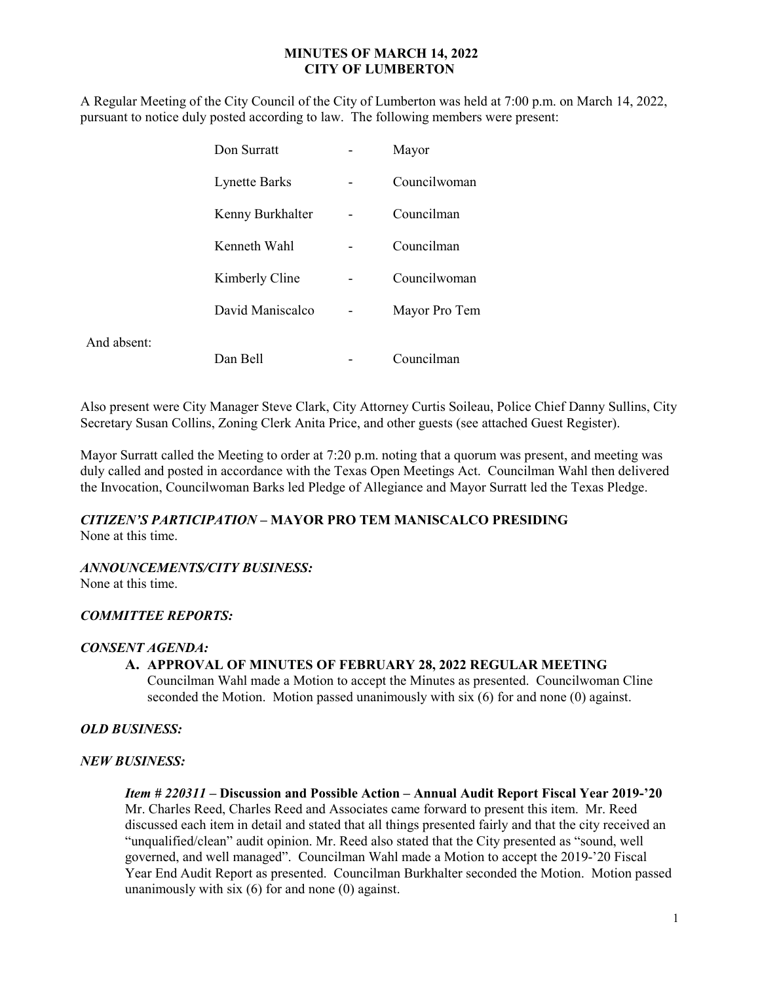### MINUTES OF MARCH 14, 2022 CITY OF LUMBERTON

A Regular Meeting of the City Council of the City of Lumberton was held at 7:00 p.m. on March 14, 2022, pursuant to notice duly posted according to law. The following members were present:

|             | Don Surratt          | Mayor         |
|-------------|----------------------|---------------|
|             | <b>Lynette Barks</b> | Councilwoman  |
|             | Kenny Burkhalter     | Councilman    |
|             | Kenneth Wahl         | Councilman    |
|             | Kimberly Cline       | Councilwoman  |
|             | David Maniscalco     | Mayor Pro Tem |
| And absent: | Dan Bell             | Councilman    |

Also present were City Manager Steve Clark, City Attorney Curtis Soileau, Police Chief Danny Sullins, City Secretary Susan Collins, Zoning Clerk Anita Price, and other guests (see attached Guest Register).

Mayor Surratt called the Meeting to order at 7:20 p.m. noting that a quorum was present, and meeting was duly called and posted in accordance with the Texas Open Meetings Act. Councilman Wahl then delivered the Invocation, Councilwoman Barks led Pledge of Allegiance and Mayor Surratt led the Texas Pledge.

# CITIZEN'S PARTICIPATION – MAYOR PRO TEM MANISCALCO PRESIDING

None at this time.

### ANNOUNCEMENTS/CITY BUSINESS:

None at this time.

### COMMITTEE REPORTS:

### CONSENT AGENDA:

## A. APPROVAL OF MINUTES OF FEBRUARY 28, 2022 REGULAR MEETING

Councilman Wahl made a Motion to accept the Minutes as presented. Councilwoman Cline seconded the Motion. Motion passed unanimously with six (6) for and none (0) against.

### OLD BUSINESS:

### NEW BUSINESS:

#### Item # 220311 – Discussion and Possible Action – Annual Audit Report Fiscal Year 2019-'20

Mr. Charles Reed, Charles Reed and Associates came forward to present this item. Mr. Reed discussed each item in detail and stated that all things presented fairly and that the city received an "unqualified/clean" audit opinion. Mr. Reed also stated that the City presented as "sound, well governed, and well managed". Councilman Wahl made a Motion to accept the 2019-'20 Fiscal Year End Audit Report as presented. Councilman Burkhalter seconded the Motion. Motion passed unanimously with six  $(6)$  for and none  $(0)$  against.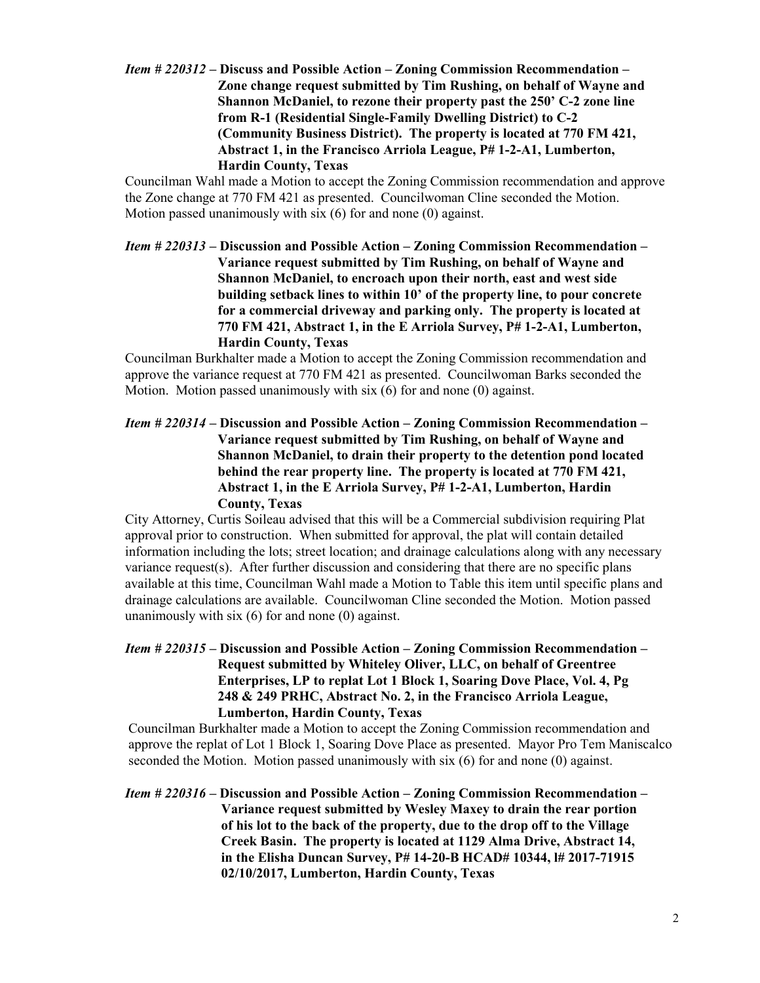Item # 220312 – Discuss and Possible Action – Zoning Commission Recommendation – Zone change request submitted by Tim Rushing, on behalf of Wayne and Shannon McDaniel, to rezone their property past the 250' C-2 zone line from R-1 (Residential Single-Family Dwelling District) to C-2 (Community Business District). The property is located at 770 FM 421, Abstract 1, in the Francisco Arriola League, P# 1-2-A1, Lumberton, Hardin County, Texas

 Councilman Wahl made a Motion to accept the Zoning Commission recommendation and approve the Zone change at 770 FM 421 as presented. Councilwoman Cline seconded the Motion. Motion passed unanimously with six (6) for and none (0) against.

Item # 220313 – Discussion and Possible Action – Zoning Commission Recommendation – Variance request submitted by Tim Rushing, on behalf of Wayne and Shannon McDaniel, to encroach upon their north, east and west side building setback lines to within 10' of the property line, to pour concrete for a commercial driveway and parking only. The property is located at 770 FM 421, Abstract 1, in the E Arriola Survey, P# 1-2-A1, Lumberton, Hardin County, Texas

Councilman Burkhalter made a Motion to accept the Zoning Commission recommendation and approve the variance request at 770 FM 421 as presented. Councilwoman Barks seconded the Motion. Motion passed unanimously with six (6) for and none (0) against.

Item # 220314 – Discussion and Possible Action – Zoning Commission Recommendation – Variance request submitted by Tim Rushing, on behalf of Wayne and Shannon McDaniel, to drain their property to the detention pond located behind the rear property line. The property is located at 770 FM 421, Abstract 1, in the E Arriola Survey, P# 1-2-A1, Lumberton, Hardin County, Texas

 City Attorney, Curtis Soileau advised that this will be a Commercial subdivision requiring Plat approval prior to construction. When submitted for approval, the plat will contain detailed information including the lots; street location; and drainage calculations along with any necessary variance request(s). After further discussion and considering that there are no specific plans available at this time, Councilman Wahl made a Motion to Table this item until specific plans and drainage calculations are available. Councilwoman Cline seconded the Motion. Motion passed unanimously with six (6) for and none (0) against.

Item # 220315 – Discussion and Possible Action – Zoning Commission Recommendation – Request submitted by Whiteley Oliver, LLC, on behalf of Greentree Enterprises, LP to replat Lot 1 Block 1, Soaring Dove Place, Vol. 4, Pg 248 & 249 PRHC, Abstract No. 2, in the Francisco Arriola League, Lumberton, Hardin County, Texas

 Councilman Burkhalter made a Motion to accept the Zoning Commission recommendation and approve the replat of Lot 1 Block 1, Soaring Dove Place as presented. Mayor Pro Tem Maniscalco seconded the Motion. Motion passed unanimously with six (6) for and none (0) against.

Item # 220316 – Discussion and Possible Action – Zoning Commission Recommendation – Variance request submitted by Wesley Maxey to drain the rear portion of his lot to the back of the property, due to the drop off to the Village Creek Basin. The property is located at 1129 Alma Drive, Abstract 14, in the Elisha Duncan Survey, P# 14-20-B HCAD# 10344, l# 2017-71915 02/10/2017, Lumberton, Hardin County, Texas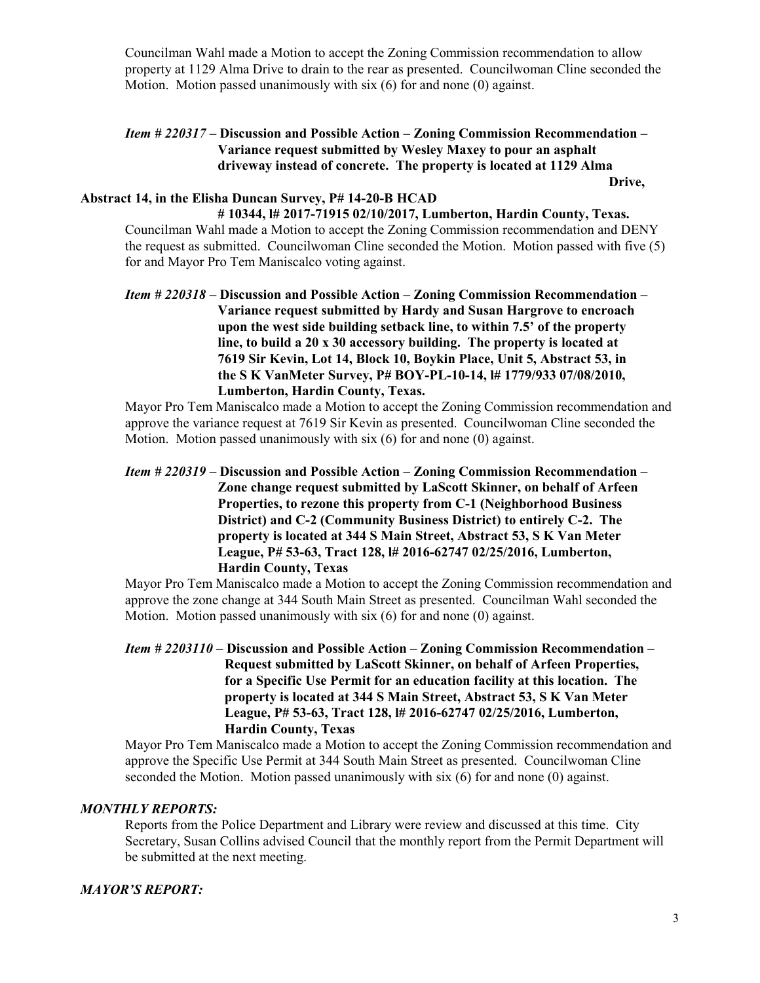Councilman Wahl made a Motion to accept the Zoning Commission recommendation to allow property at 1129 Alma Drive to drain to the rear as presented. Councilwoman Cline seconded the Motion. Motion passed unanimously with six (6) for and none (0) against.

## Item # 220317 – Discussion and Possible Action – Zoning Commission Recommendation – Variance request submitted by Wesley Maxey to pour an asphalt driveway instead of concrete. The property is located at 1129 Alma

Drive,

### Abstract 14, in the Elisha Duncan Survey, P# 14-20-B HCAD # 10344, l# 2017-71915 02/10/2017, Lumberton, Hardin County, Texas.

 Councilman Wahl made a Motion to accept the Zoning Commission recommendation and DENY the request as submitted. Councilwoman Cline seconded the Motion. Motion passed with five (5) for and Mayor Pro Tem Maniscalco voting against.

Item # 220318 – Discussion and Possible Action – Zoning Commission Recommendation – Variance request submitted by Hardy and Susan Hargrove to encroach upon the west side building setback line, to within 7.5' of the property line, to build a 20 x 30 accessory building. The property is located at 7619 Sir Kevin, Lot 14, Block 10, Boykin Place, Unit 5, Abstract 53, in the S K VanMeter Survey, P# BOY-PL-10-14, l# 1779/933 07/08/2010, Lumberton, Hardin County, Texas.

 Mayor Pro Tem Maniscalco made a Motion to accept the Zoning Commission recommendation and approve the variance request at 7619 Sir Kevin as presented. Councilwoman Cline seconded the Motion. Motion passed unanimously with six (6) for and none (0) against.

Item # 220319 – Discussion and Possible Action – Zoning Commission Recommendation – Zone change request submitted by LaScott Skinner, on behalf of Arfeen Properties, to rezone this property from C-1 (Neighborhood Business District) and C-2 (Community Business District) to entirely C-2. The property is located at 344 S Main Street, Abstract 53, S K Van Meter League, P# 53-63, Tract 128, l# 2016-62747 02/25/2016, Lumberton, Hardin County, Texas

Mayor Pro Tem Maniscalco made a Motion to accept the Zoning Commission recommendation and approve the zone change at 344 South Main Street as presented. Councilman Wahl seconded the Motion. Motion passed unanimously with six (6) for and none (0) against.

Item # 2203110 – Discussion and Possible Action – Zoning Commission Recommendation – Request submitted by LaScott Skinner, on behalf of Arfeen Properties, for a Specific Use Permit for an education facility at this location. The property is located at 344 S Main Street, Abstract 53, S K Van Meter League, P# 53-63, Tract 128, l# 2016-62747 02/25/2016, Lumberton, Hardin County, Texas

 Mayor Pro Tem Maniscalco made a Motion to accept the Zoning Commission recommendation and approve the Specific Use Permit at 344 South Main Street as presented. Councilwoman Cline seconded the Motion. Motion passed unanimously with six (6) for and none (0) against.

## MONTHLY REPORTS:

 Reports from the Police Department and Library were review and discussed at this time. City Secretary, Susan Collins advised Council that the monthly report from the Permit Department will be submitted at the next meeting.

## MAYOR'S REPORT: